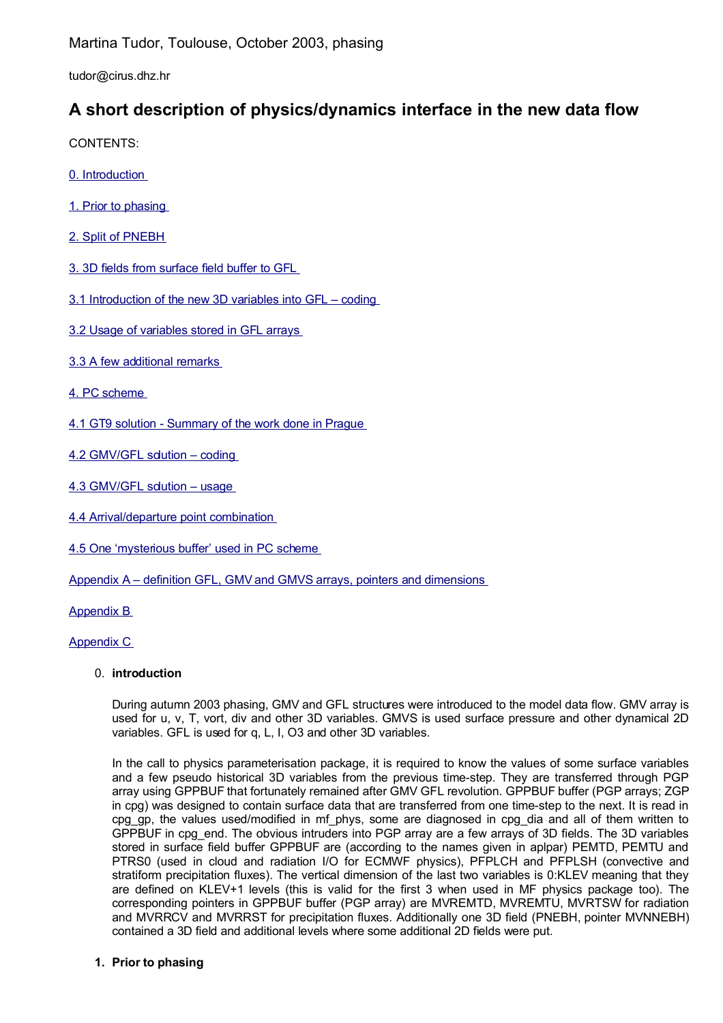Martina Tudor, Toulouse, October 2003, phasing

tudor@cirus.dhz.hr

# **A short description of physics/dynamics interface in the new data flow**

CONTENTS:

- [0. Introduction](#page-0-0)
- [1. Prior to phasing](#page-0-1)
- [2. Split of PNEBH](#page-1-1)
- [3. 3D fields from surface field buffer to GFL](#page-1-0)
- [3.1 Introduction of the new](#page-2-0) 3D variables into GFL coding
- [3.2 Usage of variables stored in GFL arrays](#page-4-0)
- [3.3 A few additional remarks](#page-5-0)
- [4. PC scheme](#page-6-2)
- 4.1 GT9 solution [Summary of the work done in](#page-6-1) Prague
- 4.2 GMV/GFL sdution coding
- 4.3 GMV/GFL sdution usage
- [4.4 Arrival/departure point combination](#page-8-1)
- [4.5 One 'mysterious buffer' used in PC scheme](#page-8-0)
- Appendix A [definition GFL, GMV and GMVS arrays, pointers and](#page-9-0) dimensions

[Appendix B](#page-19-1) 

[Appendix C](#page-19-0) 

## <span id="page-0-0"></span>0. **introduction**

During autumn 2003 phasing, GMV and GFL structures were introduced to the model data flow. GMV array is used for u, v, T, vort, div and other 3D variables. GMVS is used surface pressure and other dynamical 2D variables. GFL is used for q, L, I, O3 and other 3D variables.

In the call to physics parameterisation package, it is required to know the values of some surface variables and a few pseudo historical 3D variables from the previous time-step. They are transferred through PGP array using GPPBUF that fortunately remained after GMV GFL revolution. GPPBUF buffer (PGP arrays; ZGP in cpg) was designed to contain surface data that are transferred from one time-step to the next. It is read in cpg gp, the values used/modified in mf phys, some are diagnosed in cpg dia and all of them written to GPPBUF in cpg\_end. The obvious intruders into PGP array are a few arrays of 3D fields. The 3D variables stored in surface field buffer GPPBUF are (according to the names given in aplpar) PEMTD, PEMTU and PTRS0 (used in cloud and radiation I/O for ECMWF physics), PFPLCH and PFPLSH (convective and stratiform precipitation fluxes). The vertical dimension of the last two variables is 0:KLEV meaning that they are defined on KLEV+1 levels (this is valid for the first 3 when used in MF physics package too). The corresponding pointers in GPPBUF buffer (PGP array) are MVREMTD, MVREMTU, MVRTSW for radiation and MVRRCV and MVRRST for precipitation fluxes. Additionally one 3D field (PNEBH, pointer MVNNEBH) contained a 3D field and additional levels where some additional 2D fields were put.

## <span id="page-0-1"></span>**1. Prior to phasing**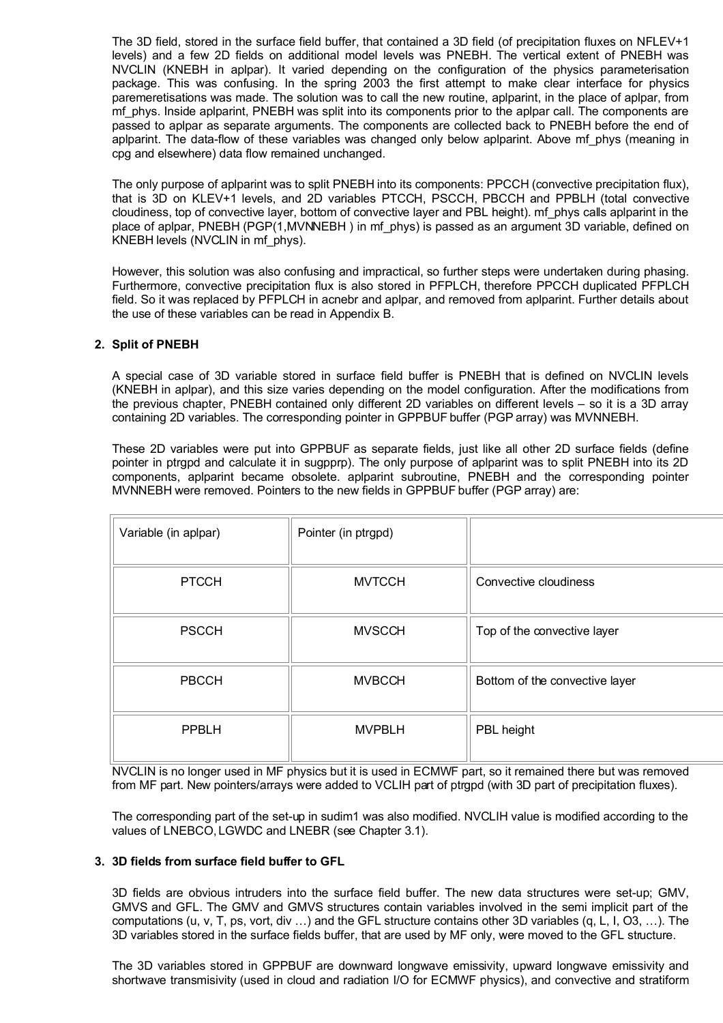The 3D field, stored in the surface field buffer, that contained a 3D field (of precipitation fluxes on NFLEV+1 levels) and a few 2D fields on additional model levels was PNEBH. The vertical extent of PNEBH was NVCLIN (KNEBH in aplpar). It varied depending on the configuration of the physics parameterisation package. This was confusing. In the spring 2003 the first attempt to make clear interface for physics paremeretisations was made. The solution was to call the new routine, aplparint, in the place of aplpar, from mf phys. Inside aplparint, PNEBH was split into its components prior to the aplpar call. The components are passed to aplpar as separate arguments. The components are collected back to PNEBH before the end of aplparint. The data-flow of these variables was changed only below aplparint. Above mf phys (meaning in cpg and elsewhere) data flow remained unchanged.

The only purpose of aplparint was to split PNEBH into its components: PPCCH (convective precipitation flux), that is 3D on KLEV+1 levels, and 2D variables PTCCH, PSCCH, PBCCH and PPBLH (total convective cloudiness, top of convective layer, bottom of convective layer and PBL height). mf\_phys calls aplparint in the place of aplpar, PNEBH (PGP(1,MVNNEBH ) in mf\_phys) is passed as an argument 3D variable, defined on KNEBH levels (NVCLIN in mf\_phys).

However, this solution was also confusing and impractical, so further steps were undertaken during phasing. Furthermore, convective precipitation flux is also stored in PFPLCH, therefore PPCCH duplicated PFPLCH field. So it was replaced by PFPLCH in acnebr and aplpar, and removed from aplparint. Further details about the use of these variables can be read in Appendix B.

## <span id="page-1-1"></span>**2. Split of PNEBH**

A special case of 3D variable stored in surface field buffer is PNEBH that is defined on NVCLIN levels (KNEBH in aplpar), and this size varies depending on the model configuration. After the modifications from the previous chapter, PNEBH contained only different 2D variables on different levels – so it is a 3D array containing 2D variables. The corresponding pointer in GPPBUF buffer (PGP array) was MVNNEBH.

These 2D variables were put into GPPBUF as separate fields, just like all other 2D surface fields (define pointer in ptrgpd and calculate it in sugpprp). The only purpose of aplparint was to split PNEBH into its 2D components, aplparint became obsolete. aplparint subroutine, PNEBH and the corresponding pointer MVNNEBH were removed. Pointers to the new fields in GPPBUF buffer (PGP array) are:

| Variable (in aplpar) | Pointer (in ptrgpd) |                                |
|----------------------|---------------------|--------------------------------|
| <b>PTCCH</b>         | <b>MVTCCH</b>       | Convective cloudiness          |
| <b>PSCCH</b>         | <b>MVSCCH</b>       | Top of the convective layer    |
| <b>PBCCH</b>         | <b>MVBCCH</b>       | Bottom of the convective layer |
| PPBLH                | <b>MVPBLH</b>       | PBL height                     |

NVCLIN is no longer used in MF physics but it is used in ECMWF part, so it remained there but was removed from MF part. New pointers/arrays were added to VCLIH part of ptrgpd (with 3D part of precipitation fluxes).

The corresponding part of the set-up in sudim1 was also modified. NVCLIH value is modified according to the values of LNEBCO, LGWDC and LNEBR (see Chapter 3.1).

#### <span id="page-1-0"></span>**3. 3D fields from surface field buffer to GFL**

3D fields are obvious intruders into the surface field buffer. The new data structures were set-up; GMV, GMVS and GFL. The GMV and GMVS structures contain variables involved in the semi implicit part of the computations (u, v, T, ps, vort, div …) and the GFL structure contains other 3D variables (q, L, I, O3, …). The 3D variables stored in the surface fields buffer, that are used by MF only, were moved to the GFL structure.

The 3D variables stored in GPPBUF are downward longwave emissivity, upward longwave emissivity and shortwave transmisivity (used in cloud and radiation I/O for ECMWF physics), and convective and stratiform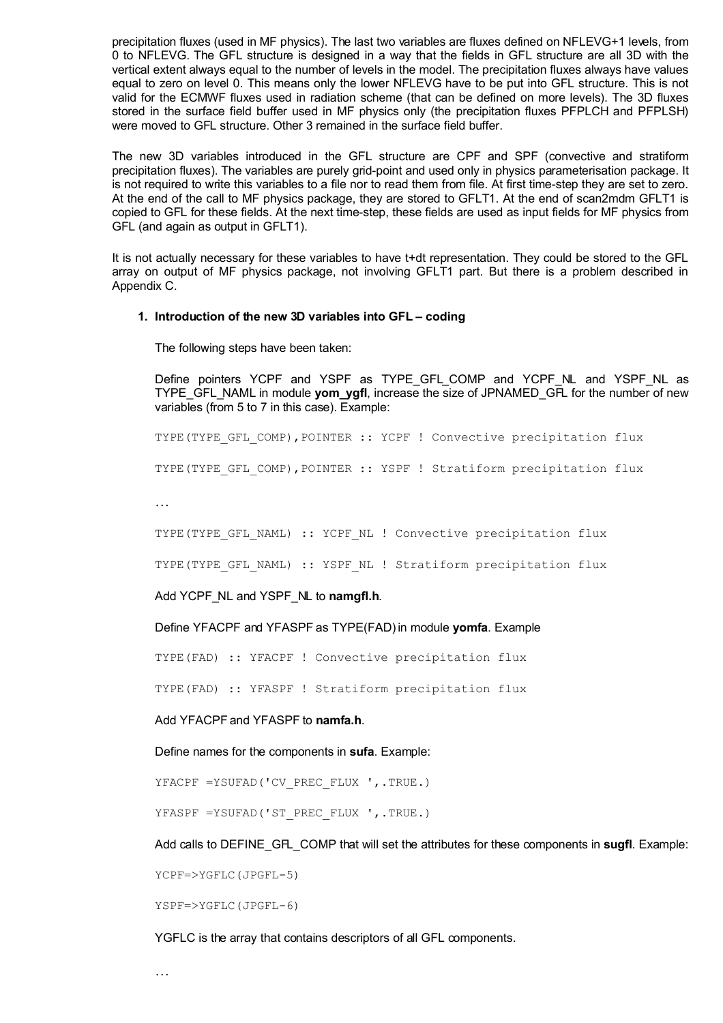precipitation fluxes (used in MF physics). The last two variables are fluxes defined on NFLEVG+1 levels, from 0 to NFLEVG. The GFL structure is designed in a way that the fields in GFL structure are all 3D with the vertical extent always equal to the number of levels in the model. The precipitation fluxes always have values equal to zero on level 0. This means only the lower NFLEVG have to be put into GFL structure. This is not valid for the ECMWF fluxes used in radiation scheme (that can be defined on more levels). The 3D fluxes stored in the surface field buffer used in MF physics only (the precipitation fluxes PFPLCH and PFPLSH) were moved to GFL structure. Other 3 remained in the surface field buffer.

The new 3D variables introduced in the GFL structure are CPF and SPF (convective and stratiform precipitation fluxes). The variables are purely grid-point and used only in physics parameterisation package. It is not required to write this variables to a file nor to read them from file. At first time-step they are set to zero. At the end of the call to MF physics package, they are stored to GFLT1. At the end of scan2mdm GFLT1 is copied to GFL for these fields. At the next time-step, these fields are used as input fields for MF physics from GFL (and again as output in GFLT1).

It is not actually necessary for these variables to have t+dt representation. They could be stored to the GFL array on output of MF physics package, not involving GFLT1 part. But there is a problem described in Appendix C.

#### <span id="page-2-0"></span>**1. Introduction of the new 3D variables into GFL – coding**

The following steps have been taken:

Define pointers YCPF and YSPF as TYPE GFL COMP and YCPF\_NL and YSPF\_NL as TYPE\_GFL\_NAML in module **yom\_ygfl**, increase the size of JPNAMED\_GFL for the number of new variables (from 5 to 7 in this case). Example:

TYPE(TYPE GFL COMP), POINTER :: YCPF ! Convective precipitation flux

TYPE(TYPE GFL COMP), POINTER :: YSPF ! Stratiform precipitation flux

…

TYPE(TYPE GFL NAML) :: YCPF NL ! Convective precipitation flux

TYPE(TYPE GFL NAML) :: YSPF\_NL ! Stratiform precipitation flux

Add YCPF\_NL and YSPF\_NL to **namgfl.h**.

#### Define YFACPF and YFASPF as TYPE(FAD) in module **yomfa**. Example

TYPE(FAD) :: YFACPF ! Convective precipitation flux

TYPE(FAD) :: YFASPF ! Stratiform precipitation flux

Add YFACPF and YFASPF to **namfa.h**.

Define names for the components in **sufa**. Example:

YFACPF =YSUFAD('CV PREC FLUX ',.TRUE.)

YFASPF =YSUFAD('ST\_PREC\_FLUX ',.TRUE.)

Add calls to DEFINE\_GFL\_COMP that will set the attributes for these components in **sugfl**. Example:

YCPF=>YGFLC(JPGFL-5)

YSPF=>YGFLC(JPGFL-6)

YGFLC is the array that contains descriptors of all GFL components.

…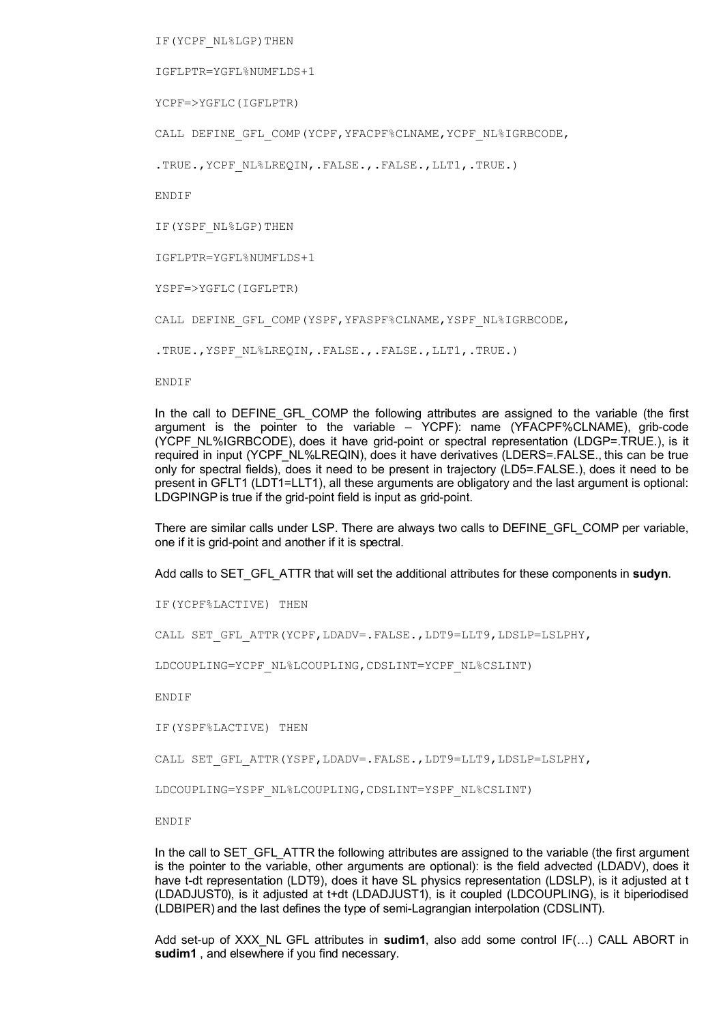IF(YCPF\_NL%LGP)THEN

IGFLPTR=YGFL%NUMFLDS+1

YCPF=>YGFLC(IGFLPTR)

CALL DEFINE GFL COMP(YCPF, YFACPF%CLNAME, YCPF\_NL%IGRBCODE,

.TRUE., YCPF\_NL%LREQIN,.FALSE.,.FALSE.,LLT1,.TRUE.)

ENDIF

IF(YSPF\_NL%LGP)THEN

IGFLPTR=YGFL%NUMFLDS+1

YSPF=>YGFLC(IGFLPTR)

CALL DEFINE GFL COMP(YSPF, YFASPF%CLNAME, YSPF\_NL%IGRBCODE,

.TRUE., YSPF\_NL%LREQIN, .FALSE., .FALSE., LLT1, .TRUE.)

ENDIF

In the call to DEFINE\_GFL\_COMP the following attributes are assigned to the variable (the first argument is the pointer to the variable – YCPF): name (YFACPF%CLNAME), grib-code (YCPF\_NL%IGRBCODE), does it have grid-point or spectral representation (LDGP=.TRUE.), is it required in input (YCPF\_NL%LREQIN), does it have derivatives (LDERS=.FALSE., this can be true only for spectral fields), does it need to be present in trajectory (LD5=.FALSE.), does it need to be present in GFLT1 (LDT1=LLT1), all these arguments are obligatory and the last argument is optional: LDGPINGP is true if the grid-point field is input as grid-point.

There are similar calls under LSP. There are always two calls to DEFINE GFL COMP per variable, one if it is grid-point and another if it is spectral.

Add calls to SET\_GFL\_ATTR that will set the additional attributes for these components in **sudyn**.

IF(YCPF%LACTIVE) THEN

CALL SET GFL ATTR(YCPF, LDADV=.FALSE., LDT9=LLT9, LDSLP=LSLPHY,

LDCOUPLING=YCPF\_NL%LCOUPLING,CDSLINT=YCPF\_NL%CSLINT)

ENDIF

IF(YSPF%LACTIVE) THEN

CALL SET GFL ATTR(YSPF, LDADV=.FALSE., LDT9=LLT9, LDSLP=LSLPHY,

LDCOUPLING=YSPF\_NL%LCOUPLING,CDSLINT=YSPF\_NL%CSLINT)

ENDIF

In the call to SET\_GFL\_ATTR the following attributes are assigned to the variable (the first argument is the pointer to the variable, other arguments are optional): is the field advected (LDADV), does it have t-dt representation (LDT9), does it have SL physics representation (LDSLP), is it adjusted at t (LDADJUST0), is it adjusted at t+dt (LDADJUST1), is it coupled (LDCOUPLING), is it biperiodised (LDBIPER) and the last defines the type of semi-Lagrangian interpolation (CDSLINT).

Add set-up of XXX\_NL GFL attributes in **sudim1**, also add some control IF(…) CALL ABORT in **sudim1** , and elsewhere if you find necessary.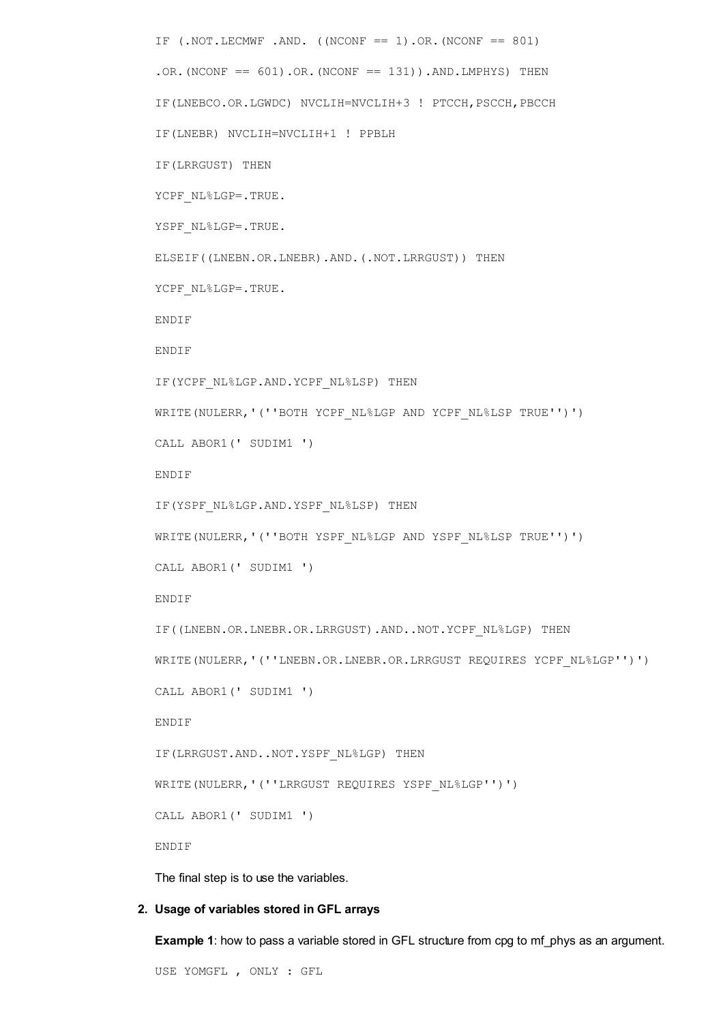```
IF (NOT. LECMWF. AND. (NCONF == 1).OR. (NCONF == 801).OR. (NCONF == 601) .OR. (NCONF == 131). AND. LMPHYS) THEN
IF(LNEBCO.OR.LGWDC) NVCLIH=NVCLIH+3 ! PTCCH,PSCCH,PBCCH
IF(LNEBR) NVCLIH=NVCLIH+1 ! PPBLH
IF(LRRGUST) THEN
YCPF_NL%LGP=.TRUE.
YSPF_NL%LGP=.TRUE.
ELSEIF((LNEBN.OR.LNEBR).AND.(.NOT.LRRGUST)) THEN
YCPF_NL%LGP=.TRUE.
ENDIF
ENDIF
IF(YCPF_NL%LGP.AND.YCPF_NL%LSP) THEN
WRITE(NULERR,'(''BOTH YCPF_NL%LGP_AND_YCPF_NL%LSP_TRUE'')')
CALL ABOR1(' SUDIM1 ')
ENDIF
IF(YSPF_NL%LGP.AND.YSPF_NL%LSP) THEN
WRITE(NULERR,'(''BOTH YSPF_NL%LGP_AND_YSPF_NL%LSP_TRUE'')')
CALL ABOR1(' SUDIM1 ')
ENDIF
IF((LNEBN.OR.LNEBR.OR.LRRGUST).AND..NOT.YCPF_NL%LGP) THEN
WRITE(NULERR,'(''LNEBN.OR.LNEBR.OR.LRRGUST REQUIRES YCPF_NL%LGP'')')
CALL ABOR1(' SUDIM1 ')
ENDIF
IF(LRRGUST.AND..NOT.YSPF_NL%LGP) THEN
WRITE(NULERR, '(''LRRGUST REQUIRES YSPF_NL%LGP'')')
CALL ABOR1(' SUDIM1 ')
ENDIF
```
The final step is to use the variables.

## <span id="page-4-0"></span>**2. Usage of variables stored in GFL arrays**

**Example 1**: how to pass a variable stored in GFL structure from cpg to mf\_phys as an argument.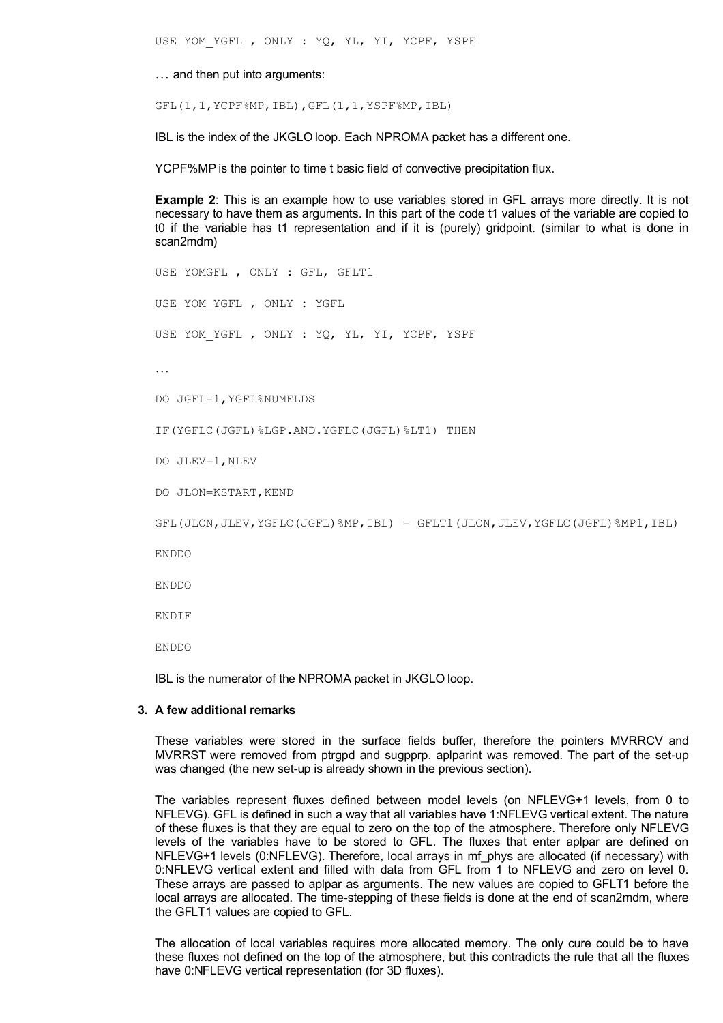USE YOM\_YGFL , ONLY : YQ, YL, YI, YCPF, YSPF

… and then put into arguments:

GFL(1,1,YCPF%MP,IBL),GFL(1,1,YSPF%MP,IBL)

IBL is the index of the JKGLO loop. Each NPROMA packet has a different one.

YCPF%MP is the pointer to time t basic field of convective precipitation flux.

**Example 2**: This is an example how to use variables stored in GFL arrays more directly. It is not necessary to have them as arguments. In this part of the code t1 values of the variable are copied to t0 if the variable has t1 representation and if it is (purely) gridpoint. (similar to what is done in scan2mdm)

USE YOMGFL , ONLY : GFL, GFLT1 USE YOM\_YGFL , ONLY : YGFL USE YOM\_YGFL , ONLY : YQ, YL, YI, YCPF, YSPF … DO JGFL=1,YGFL%NUMFLDS IF(YGFLC(JGFL)%LGP.AND.YGFLC(JGFL)%LT1) THEN DO JLEV=1,NLEV DO JLON=KSTART,KEND GFL(JLON,JLEV,YGFLC(JGFL)%MP,IBL) = GFLT1(JLON,JLEV,YGFLC(JGFL)%MP1,IBL) ENDDO ENDDO

ENDIF ENDDO

IBL is the numerator of the NPROMA packet in JKGLO loop.

## <span id="page-5-0"></span>**3. A few additional remarks**

These variables were stored in the surface fields buffer, therefore the pointers MVRRCV and MVRRST were removed from ptrgpd and sugpprp. aplparint was removed. The part of the set-up was changed (the new set-up is already shown in the previous section).

The variables represent fluxes defined between model levels (on NFLEVG+1 levels, from 0 to NFLEVG). GFL is defined in such a way that all variables have 1:NFLEVG vertical extent. The nature of these fluxes is that they are equal to zero on the top of the atmosphere. Therefore only NFLEVG levels of the variables have to be stored to GFL. The fluxes that enter aplpar are defined on NFLEVG+1 levels (0:NFLEVG). Therefore, local arrays in mf\_phys are allocated (if necessary) with 0:NFLEVG vertical extent and filled with data from GFL from 1 to NFLEVG and zero on level 0. These arrays are passed to aplpar as arguments. The new values are copied to GFLT1 before the local arrays are allocated. The time-stepping of these fields is done at the end of scan2mdm, where the GFLT1 values are copied to GFL.

The allocation of local variables requires more allocated memory. The only cure could be to have these fluxes not defined on the top of the atmosphere, but this contradicts the rule that all the fluxes have 0:NFLEVG vertical representation (for 3D fluxes).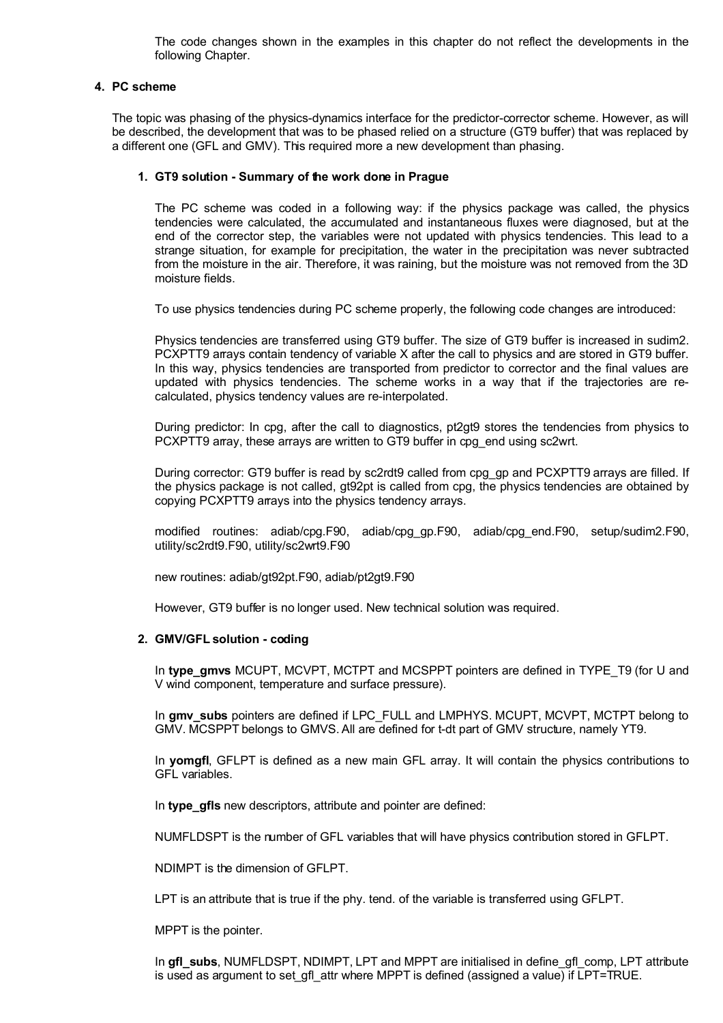The code changes shown in the examples in this chapter do not reflect the developments in the following Chapter.

## <span id="page-6-2"></span>**4. PC scheme**

The topic was phasing of the physics-dynamics interface for the predictor-corrector scheme. However, as will be described, the development that was to be phased relied on a structure (GT9 buffer) that was replaced by a different one (GFL and GMV). This required more a new development than phasing.

## <span id="page-6-1"></span>**1. GT9 solution - Summary of the work done in Prague**

The PC scheme was coded in a following way: if the physics package was called, the physics tendencies were calculated, the accumulated and instantaneous fluxes were diagnosed, but at the end of the corrector step, the variables were not updated with physics tendencies. This lead to a strange situation, for example for precipitation, the water in the precipitation was never subtracted from the moisture in the air. Therefore, it was raining, but the moisture was not removed from the 3D moisture fields.

To use physics tendencies during PC scheme properly, the following code changes are introduced:

Physics tendencies are transferred using GT9 buffer. The size of GT9 buffer is increased in sudim2. PCXPTT9 arrays contain tendency of variable X after the call to physics and are stored in GT9 buffer. In this way, physics tendencies are transported from predictor to corrector and the final values are updated with physics tendencies. The scheme works in a way that if the trajectories are recalculated, physics tendency values are re-interpolated.

During predictor: In cpg, after the call to diagnostics, pt2gt9 stores the tendencies from physics to PCXPTT9 array, these arrays are written to GT9 buffer in cpg\_end using sc2wrt.

During corrector: GT9 buffer is read by sc2rdt9 called from cpg\_gp and PCXPTT9 arrays are filled. If the physics package is not called, gt92pt is called from cpg, the physics tendencies are obtained by copying PCXPTT9 arrays into the physics tendency arrays.

modified routines: adiab/cpg.F90, adiab/cpg\_gp.F90, adiab/cpg\_end.F90, setup/sudim2.F90, utility/sc2rdt9.F90, utility/sc2wrt9.F90

new routines: adiab/gt92pt.F90, adiab/pt2gt9.F90

However, GT9 buffer is no longer used. New technical solution was required.

#### <span id="page-6-0"></span>**2. GMV/GFL solution - coding**

In **type\_gmvs** MCUPT, MCVPT, MCTPT and MCSPPT pointers are defined in TYPE\_T9 (for U and V wind component, temperature and surface pressure).

In **gmv\_subs** pointers are defined if LPC\_FULL and LMPHYS. MCUPT, MCVPT, MCTPT belong to GMV. MCSPPT belongs to GMVS. All are defined for t-dt part of GMV structure, namely YT9.

In **yomgfl**, GFLPT is defined as a new main GFL array. It will contain the physics contributions to GFL variables.

In **type gfls** new descriptors, attribute and pointer are defined:

NUMFLDSPT is the number of GFL variables that will have physics contribution stored in GFLPT.

NDIMPT is the dimension of GFLPT.

LPT is an attribute that is true if the phy. tend. of the variable is transferred using GFLPT.

MPPT is the pointer.

In **gfl\_subs**, NUMFLDSPT, NDIMPT, LPT and MPPT are initialised in define gfl\_comp, LPT attribute is used as argument to set\_gfl\_attr where MPPT is defined (assigned a value) if LPT=TRUE.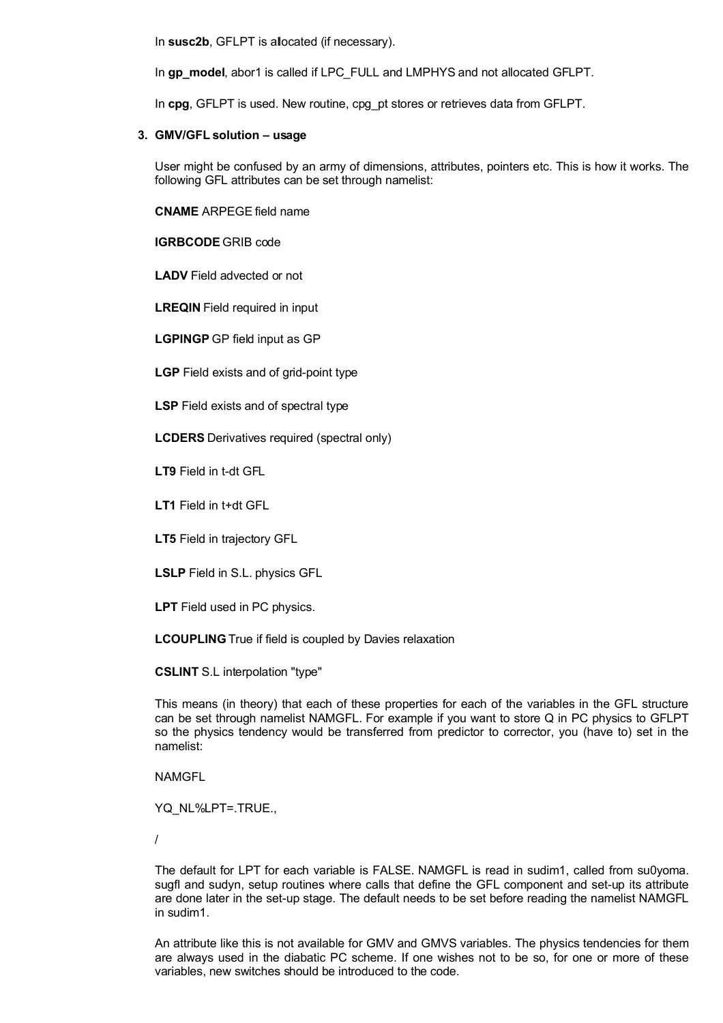In **susc2b**, GFLPT is allocated (if necessary).

In **gp\_model**, abor1 is called if LPC\_FULL and LMPHYS and not allocated GFLPT.

In **cpg**, GFLPT is used. New routine, cpg\_pt stores or retrieves data from GFLPT.

#### <span id="page-7-0"></span>**3. GMV/GFL solution – usage**

User might be confused by an army of dimensions, attributes, pointers etc. This is how it works. The following GFL attributes can be set through namelist:

**CNAME** ARPEGE field name

**IGRBCODE** GRIB code

**LADV** Field advected or not

**LREQIN** Field required in input

**LGPINGP** GP field input as GP

**LGP** Field exists and of grid-point type

**LSP** Field exists and of spectral type

**LCDERS** Derivatives required (spectral only)

**LT9** Field in t-dt GFL

**LT1** Field in t+dt GFL

**LT5** Field in trajectory GFL

**LSLP** Field in S.L. physics GFL

**LPT** Field used in PC physics.

**LCOUPLING** True if field is coupled by Davies relaxation

**CSLINT** S.L interpolation "type"

This means (in theory) that each of these properties for each of the variables in the GFL structure can be set through namelist NAMGFL. For example if you want to store Q in PC physics to GFLPT so the physics tendency would be transferred from predictor to corrector, you (have to) set in the namelist:

NAMGFL

YQ\_NL%LPT=.TRUE.,

/

The default for LPT for each variable is FALSE. NAMGFL is read in sudim1, called from su0yoma. sugfl and sudyn, setup routines where calls that define the GFL component and set-up its attribute are done later in the set-up stage. The default needs to be set before reading the namelist NAMGFL in sudim1.

An attribute like this is not available for GMV and GMVS variables. The physics tendencies for them are always used in the diabatic PC scheme. If one wishes not to be so, for one or more of these variables, new switches should be introduced to the code.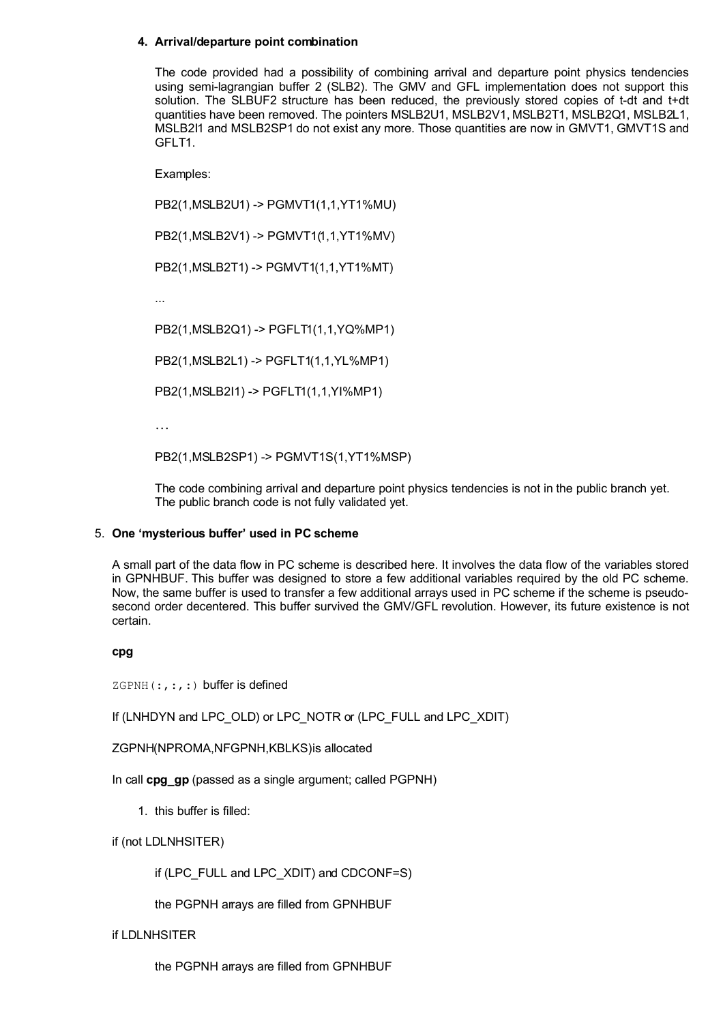## <span id="page-8-1"></span>**4. Arrival/departure point combination**

The code provided had a possibility of combining arrival and departure point physics tendencies using semi-lagrangian buffer 2 (SLB2). The GMV and GFL implementation does not support this solution. The SLBUF2 structure has been reduced, the previously stored copies of t-dt and t+dt quantities have been removed. The pointers MSLB2U1, MSLB2V1, MSLB2T1, MSLB2Q1, MSLB2L1, MSLB2I1 and MSLB2SP1do not exist any more. Those quantities are now in GMVT1, GMVT1S and GFLT1.

Examples:

PB2(1,MSLB2U1) -> PGMVT1(1,1,YT1%MU)

PB2(1,MSLB2V1) -> PGMVT1(1,1,YT1%MV)

PB2(1,MSLB2T1) -> PGMVT1(1,1,YT1%MT)

...

PB2(1,MSLB2Q1) -> PGFLT1(1,1,YQ%MP1)

PB2(1,MSLB2L1) -> PGFLT1(1,1,YL%MP1)

PB2(1,MSLB2I1) -> PGFLT1(1,1,YI%MP1)

…

PB2(1,MSLB2SP1) -> PGMVT1S(1,YT1%MSP)

The code combining arrival and departure point physics tendencies is not in the public branch yet. The public branch code is not fully validated yet.

#### <span id="page-8-0"></span>5. **One 'mysterious buffer' used in PC scheme**

A small part of the data flow in PC scheme is described here. It involves the data flow of the variables stored in GPNHBUF. This buffer was designed to store a few additional variables required by the old PC scheme. Now, the same buffer is used to transfer a few additional arrays used in PC scheme if the scheme is pseudosecond order decentered. This buffer survived the GMV/GFL revolution. However, its future existence is not certain.

#### **cpg**

 $ZGPNH$  (:,:,:) buffer is defined

#### If (LNHDYN and LPC\_OLD) or LPC\_NOTR or (LPC\_FULL and LPC\_XDIT)

ZGPNH(NPROMA,NFGPNH,KBLKS) is allocated

In call **cpg\_gp** (passed as a single argument; called PGPNH)

1. this buffer is filled:

if (not LDLNHSITER)

if (LPC\_FULL and LPC\_XDIT) and CDCONF=S)

the PGPNH arrays are filled from GPNHBUF

## if LDLNHSITER

the PGPNH arrays are filled from GPNHBUF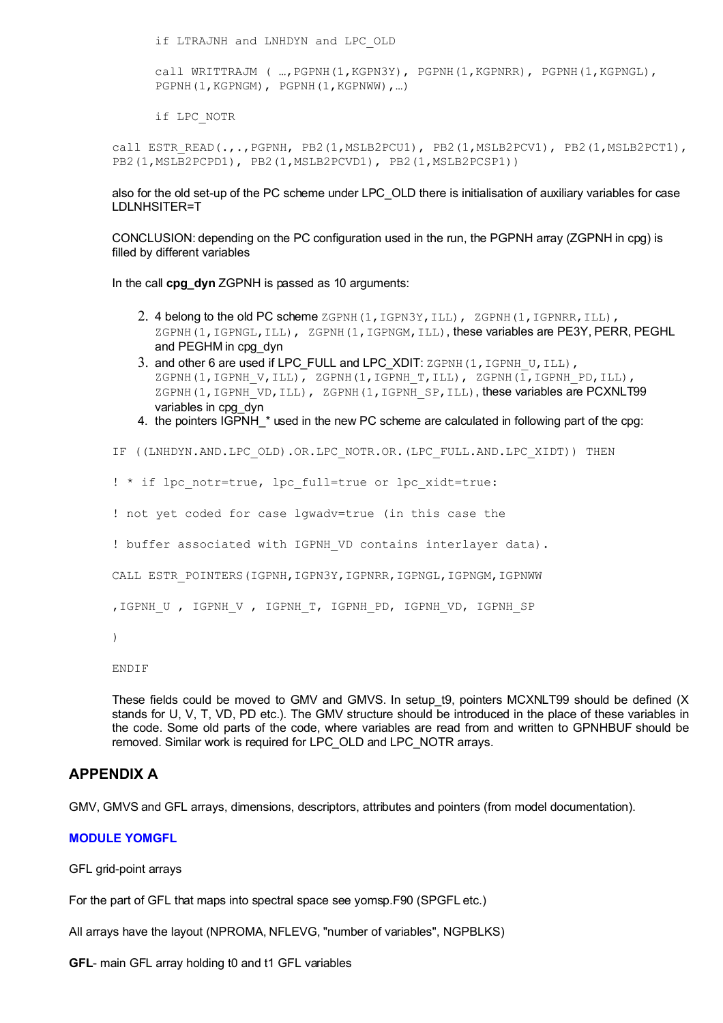if LTRAJNH and LNHDYN and LPC\_OLD

call WRITTRAJM ( …,PGPNH(1,KGPN3Y), PGPNH(1,KGPNRR), PGPNH(1,KGPNGL), PGPNH(1,KGPNGM), PGPNH(1,KGPNWW),…)

if LPC\_NOTR

call ESTR READ(.,.,PGPNH, PB2(1,MSLB2PCU1), PB2(1,MSLB2PCV1), PB2(1,MSLB2PCT1), PB2(1,MSLB2PCPD1), PB2(1,MSLB2PCVD1), PB2(1,MSLB2PCSP1))

also for the old set-up of the PC scheme under LPC OLD there is initialisation of auxiliary variables for case LDLNHSITER=T

CONCLUSION: depending on the PC configuration used in the run, the PGPNH array (ZGPNH in cpg) is filled by different variables

In the call **cpg\_dyn** ZGPNH is passed as 10 arguments:

- 2. 4 belong to the old PC scheme  $\text{ZGPMH}(1, \text{IGPN3Y}, \text{ILL})$ ,  $\text{ZGPMH}(1, \text{IGPNRR}, \text{ILL})$ , ZGPNH(1, IGPNGL, ILL), ZGPNH(1, IGPNGM, ILL), these variables are PE3Y, PERR, PEGHL and PEGHM in cpg\_dyn
- 3. and other 6 are used if LPC FULL and LPC XDIT:  $ZGPNH(1,IGPNH,U,ILL)$ , ZGPNH(1,IGPNH V,ILL), ZGPNH(1,IGPNH T,ILL), ZGPNH(1,IGPNH PD,ILL), ZGPNH(1, IGPNH VD, ILL), ZGPNH(1, IGPNH SP, ILL), these variables are PCXNLT99 variables in cpg\_dyn
- 4. the pointers IGPNH  $*$  used in the new PC scheme are calculated in following part of the cpg:

IF ((LNHDYN.AND.LPC\_OLD).OR.LPC\_NOTR.OR.(LPC\_FULL.AND.LPC\_XIDT)) THEN

! \* if lpc notr=true, lpc full=true or lpc xidt=true:

! not yet coded for case lgwadv=true (in this case the

! buffer associated with IGPNH VD contains interlayer data).

CALL ESTR\_POINTERS(IGPNH,IGPN3Y,IGPNRR,IGPNGL,IGPNGM,IGPNWW

,IGPNH\_U , IGPNH\_V , IGPNH\_T, IGPNH\_PD, IGPNH\_VD, IGPNH\_SP

 $\lambda$ 

ENDIF

These fields could be moved to GMV and GMVS. In setup t9, pointers MCXNLT99 should be defined (X stands for U, V, T, VD, PD etc.). The GMV structure should be introduced in the place of these variables in the code. Some old parts of the code, where variables are read from and written to GPNHBUF should be removed. Similar work is required for LPC\_OLD and LPC\_NOTR arrays.

## <span id="page-9-0"></span>**APPENDIX A**

GMV, GMVS and GFL arrays, dimensions, descriptors, attributes and pointers (from model documentation).

## **MODULE YOMGFL**

GFL grid-point arrays

For the part of GFL that maps into spectral space see yomsp.F90 (SPGFL etc.)

All arrays have the layout (NPROMA, NFLEVG, "number of variables", NGPBLKS)

**GFL**- main GFL array holding t0 and t1 GFL variables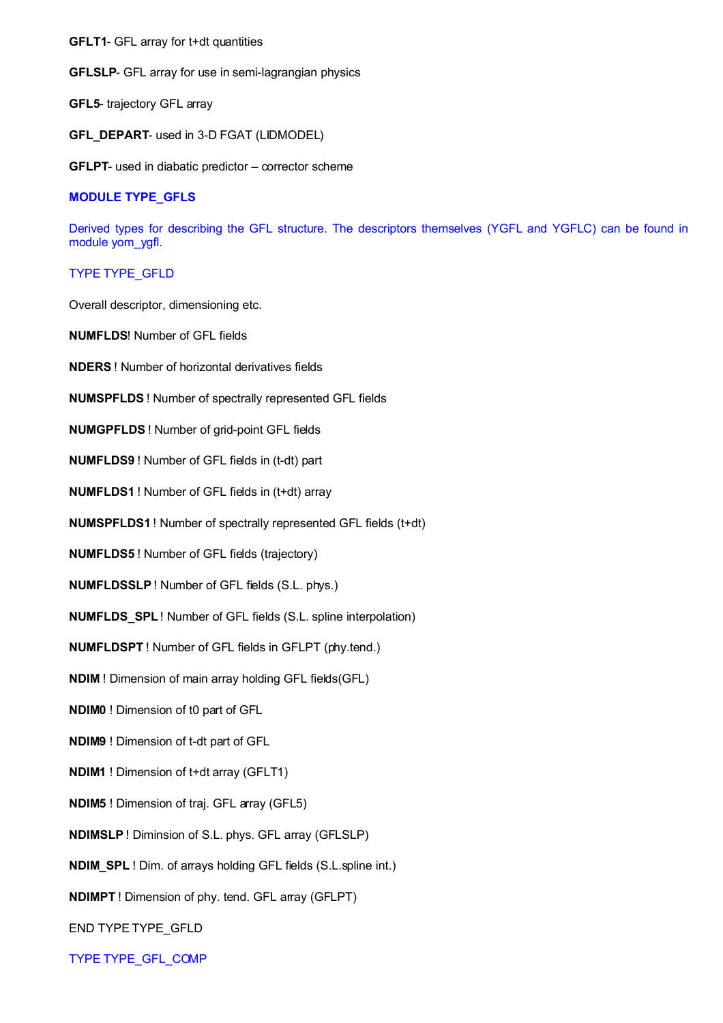**GFLT1**- GFL array for t+dt quantities

**GFLSLP**- GFL array for use in semi-lagrangian physics

**GFL5**- trajectory GFL array

**GFL\_DEPART**- used in 3-D FGAT (LIDMODEL)

**GFLPT-** used in diabatic predictor – corrector scheme

## **MODULE TYPE\_GFLS**

Derived types for describing the GFL structure. The descriptors themselves (YGFL and YGFLC) can be found in module yom\_ygfl.

## TYPE TYPE\_GFLD

Overall descriptor, dimensioning etc.

**NUMFLDS**! Number of GFL fields

**NDERS** ! Number of horizontal derivatives fields

**NUMSPFLDS** ! Number of spectrally represented GFL fields

**NUMGPFLDS** ! Number of grid-point GFL fields

**NUMFLDS9** ! Number of GFL fields in (t-dt) part

**NUMFLDS1** ! Number of GFL fields in (t+dt) array

**NUMSPFLDS1** ! Number of spectrally represented GFL fields (t+dt)

**NUMFLDS5** ! Number of GFL fields (trajectory)

**NUMFLDSSLP** ! Number of GFL fields (S.L. phys.)

**NUMFLDS\_SPL** ! Number of GFL fields (S.L. spline interpolation)

**NUMFLDSPT** ! Number of GFL fields in GFLPT (phy.tend.)

**NDIM** ! Dimension of main array holding GFL fields(GFL)

**NDIM0** ! Dimension of t0 part of GFL

**NDIM9** ! Dimension of t-dt part of GFL

**NDIM1** ! Dimension of t+dt array (GFLT1)

**NDIM5** ! Dimension of traj. GFL array (GFL5)

**NDIMSLP** ! Diminsion of S.L. phys. GFL array (GFLSLP)

**NDIM\_SPL** ! Dim. of arrays holding GFL fields (S.L.spline int.)

**NDIMPT** ! Dimension of phy. tend. GFL array (GFLPT)

END TYPE TYPE\_GFLD

TYPE TYPE\_GFL\_COMP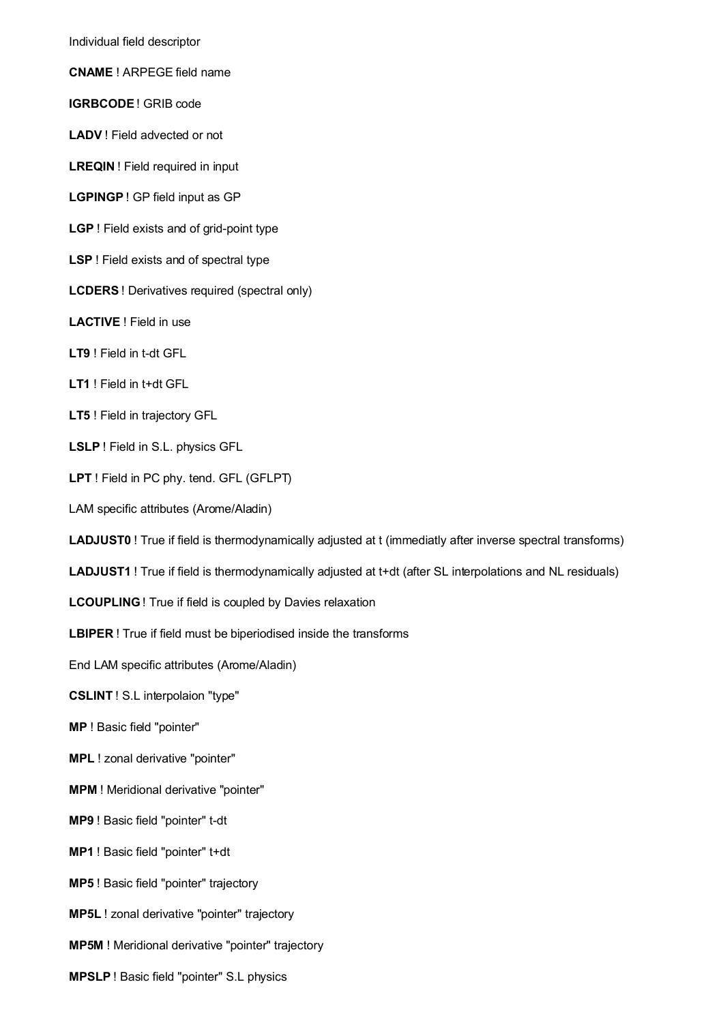Individual field descriptor

**CNAME** ! ARPEGE field name

**IGRBCODE** ! GRIB code

**LADV** ! Field advected or not

**LREQIN** ! Field required in input

**LGPINGP** ! GP field input as GP

**LGP** ! Field exists and of grid-point type

**LSP** ! Field exists and of spectral type

**LCDERS** ! Derivatives required (spectral only)

**LACTIVE** ! Field in use

**LT9** ! Field in t-dt GFL

**LT1** ! Field in t+dt GFL

**LT5** ! Field in trajectory GFL

**LSLP** ! Field in S.L. physics GFL

**LPT** ! Field in PC phy. tend. GFL (GFLPT)

LAM specific attributes (Arome/Aladin)

LADJUST0! True if field is thermodynamically adjusted at t (immediatly after inverse spectral transforms)

**LADJUST1** ! True if field is thermodynamically adjusted at t+dt (after SL interpolations and NL residuals)

**LCOUPLING** ! True if field is coupled by Davies relaxation

**LBIPER** ! True if field must be biperiodised inside the transforms

End LAM specific attributes (Arome/Aladin)

**CSLINT** ! S.L interpolaion "type"

**MP** ! Basic field "pointer"

**MPL** ! zonal derivative "pointer"

**MPM** ! Meridional derivative "pointer"

**MP9** ! Basic field "pointer" t-dt

**MP1** ! Basic field "pointer" t+dt

**MP5** ! Basic field "pointer" trajectory

**MP5L** ! zonal derivative "pointer" trajectory

**MP5M** ! Meridional derivative "pointer" trajectory

**MPSLP** ! Basic field "pointer" S.L physics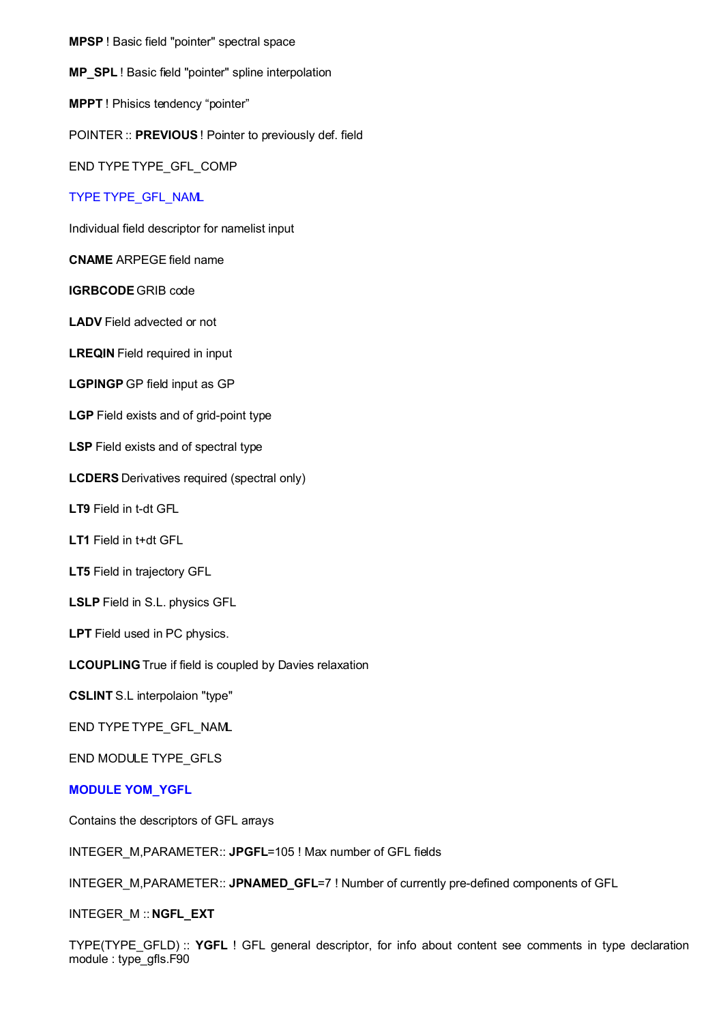**MPSP** ! Basic field "pointer" spectral space **MP\_SPL** ! Basic field "pointer" spline interpolation **MPPT** ! Phisics tendency "pointer" POINTER :: **PREVIOUS** ! Pointer to previously def. field END TYPE TYPE\_GFL\_COMP TYPE TYPE\_GFL\_NAML Individual field descriptor for namelist input **CNAME** ARPEGE field name **IGRBCODE** GRIB code **LADV** Field advected or not **LREQIN** Field required in input **LGPINGP** GP field input as GP **LGP** Field exists and of grid-point type **LSP** Field exists and of spectral type **LCDERS** Derivatives required (spectral only) **LT9** Field in t-dt GFL **LT1** Field in t+dt GFL **LT5** Field in trajectory GFL **LSLP** Field in S.L. physics GFL **LPT** Field used in PC physics. **LCOUPLING** True if field is coupled by Davies relaxation **CSLINT** S.L interpolaion "type" END TYPE TYPE\_GFL\_NAML END MODULE TYPE\_GFLS **MODULE YOM\_YGFL**

Contains the descriptors of GFL arrays

INTEGER\_M,PARAMETER :: **JPGFL**=105 ! Max number of GFL fields

INTEGER\_M,PARAMETER :: **JPNAMED\_GFL**=7 ! Number of currently pre-defined components of GFL

INTEGER\_M :: **NGFL\_EXT**

TYPE(TYPE\_GFLD) :: **YGFL** ! GFL general descriptor, for info about content see comments in type declaration module : type\_gfls.F90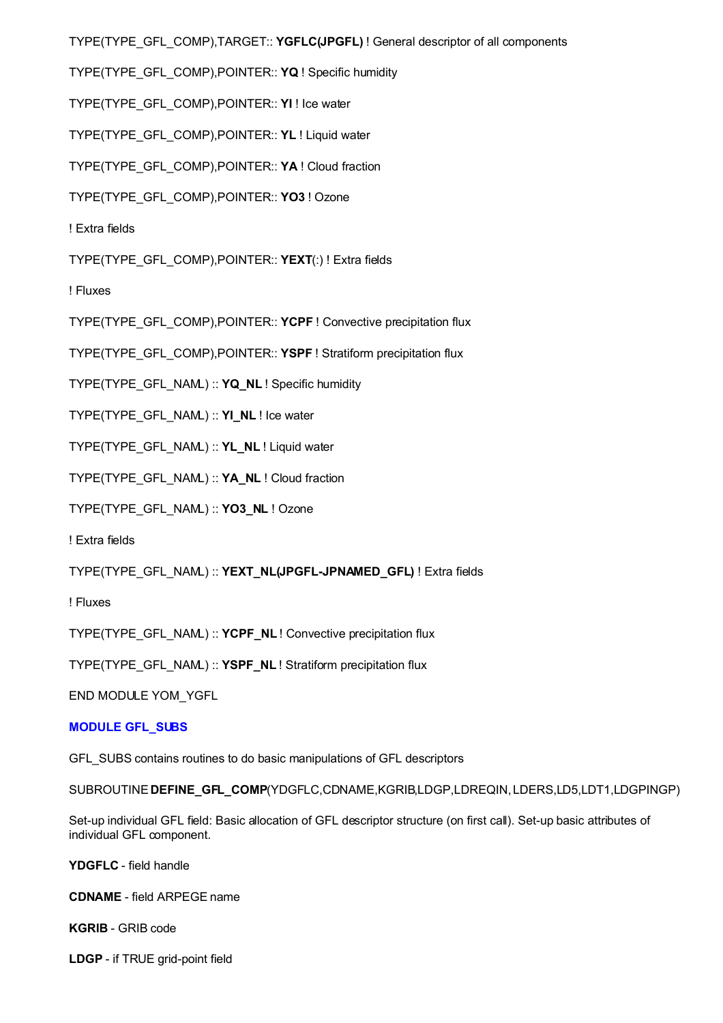TYPE(TYPE\_GFL\_COMP),TARGET :: **YGFLC(JPGFL)** ! General descriptor of all components

TYPE(TYPE\_GFL\_COMP),POINTER :: **YQ** ! Specific humidity

TYPE(TYPE\_GFL\_COMP),POINTER :: **YI** ! Ice water

TYPE(TYPE\_GFL\_COMP),POINTER :: **YL** ! Liquid water

TYPE(TYPE\_GFL\_COMP),POINTER :: **YA** ! Cloud fraction

TYPE(TYPE\_GFL\_COMP),POINTER :: **YO3** ! Ozone

! Extra fields

TYPE(TYPE\_GFL\_COMP),POINTER :: **YEXT**(:) ! Extra fields

! Fluxes

TYPE(TYPE\_GFL\_COMP),POINTER:: YCPF ! Convective precipitation flux

TYPE(TYPE\_GFL\_COMP),POINTER:: YSPF ! Stratiform precipitation flux

TYPE(TYPE\_GFL\_NAML) :: **YQ\_NL** ! Specific humidity

TYPE(TYPE\_GFL\_NAML) :: **YI\_NL** ! Ice water

TYPE(TYPE\_GFL\_NAML) :: **YL\_NL** ! Liquid water

TYPE(TYPE\_GFL\_NAML) :: **YA\_NL** ! Cloud fraction

TYPE(TYPE\_GFL\_NAML) :: **YO3\_NL** ! Ozone

! Extra fields

TYPE(TYPE\_GFL\_NAML) :: **YEXT\_NL(JPGFL-JPNAMED\_GFL)** ! Extra fields

! Fluxes

TYPE(TYPE\_GFL\_NAML) :: **YCPF\_NL** ! Convective precipitation flux

TYPE(TYPE\_GFL\_NAML) :: **YSPF\_NL** ! Stratiform precipitation flux

END MODULE YOM\_YGFL

## **MODULE GFL\_SUBS**

GFL\_SUBS contains routines to do basic manipulations of GFL descriptors

SUBROUTINE **DEFINE GFL COMP**(YDGFLC,CDNAME,KGRIB,LDGP,LDREQIN, LDERS,LD5,LDT1,LDGPINGP)

Set-up individual GFL field: Basic allocation of GFL descriptor structure (on first call). Set-up basic attributes of individual GFL component.

**YDGFLC** - field handle

**CDNAME** - field ARPEGE name

**KGRIB** - GRIB code

**LDGP** - if TRUE grid-point field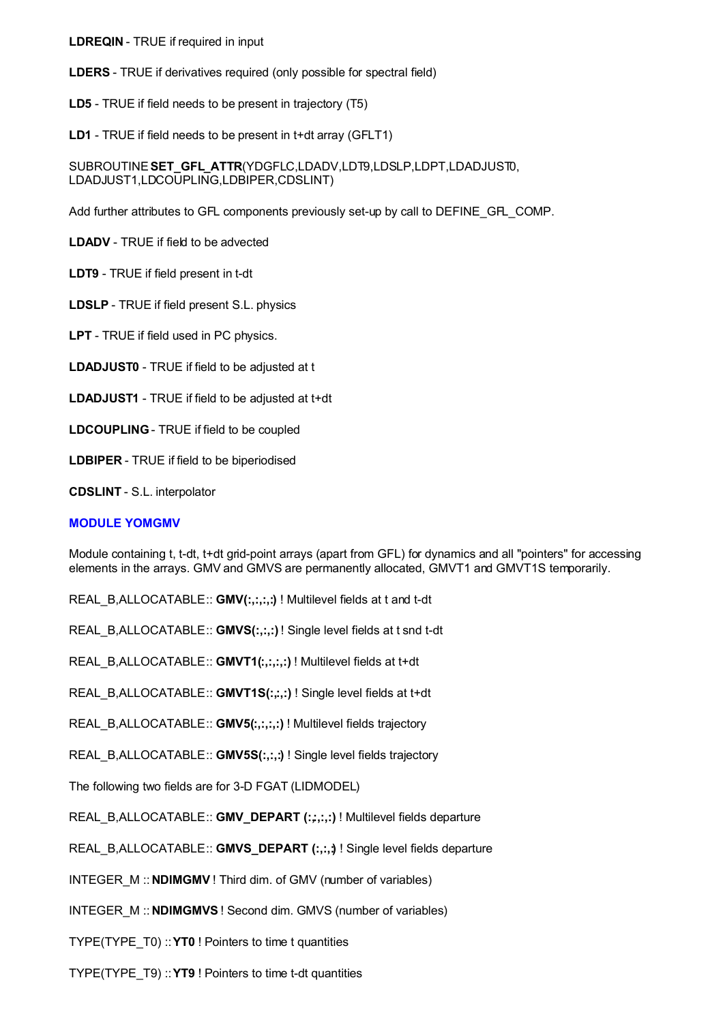**LDREQIN** - TRUE if required in input

**LDERS** - TRUE if derivatives required (only possible for spectral field)

**LD5** - TRUE if field needs to be present in trajectory (T5)

**LD1** - TRUE if field needs to be present in t+dt array (GFLT1)

SUBROUTINE **SET\_GFL\_ATTR**(YDGFLC,LDADV,LDT9,LDSLP,LDPT,LDADJUST0, LDADJUST1,LDCOUPLING,LDBIPER,CDSLINT)

Add further attributes to GFL components previously set-up by call to DEFINE\_GFL\_COMP.

**LDADV** - TRUE if field to be advected

**LDT9** - TRUE if field present in t-dt

**LDSLP** - TRUE if field present S.L. physics

**LPT** - TRUE if field used in PC physics.

**LDADJUST0** - TRUE if field to be adjusted at t

**LDADJUST1** - TRUE if field to be adjusted at t+dt

**LDCOUPLING**- TRUE if field to be coupled

**LDBIPER** - TRUE if field to be biperiodised

**CDSLINT** - S.L. interpolator

#### **MODULE YOMGMV**

Module containing t, t-dt, t+dt grid-point arrays (apart from GFL) for dynamics and all "pointers" for accessing elements in the arrays. GMV and GMVS are permanently allocated, GMVT1 and GMVT1S temporarily.

REAL\_B,ALLOCATABLE :: **GMV(:,:,:,:)** ! Multilevel fields at t and t-dt

REAL\_B,ALLOCATABLE:: **GMVS(:,:,:)** ! Single level fields at t snd t-dt

REAL\_B,ALLOCATABLE:: **GMVT1(:,:,:,:)** ! Multilevel fields at t+dt

REAL\_B,ALLOCATABLE:: **GMVT1S(:,:,:)** ! Single level fields at t+dt

REAL\_B,ALLOCATABLE :: **GMV5(:,:,:,:)** ! Multilevel fields trajectory

REAL\_B,ALLOCATABLE :: **GMV5S(:,:,:)** ! Single level fields trajectory

The following two fields are for 3-D FGAT (LIDMODEL)

REAL\_B,ALLOCATABLE:: **GMV\_DEPART (:,:,:,:)** ! Multilevel fields departure

REAL\_B,ALLOCATABLE:: **GMVS\_DEPART (:,:,;)** ! Single level fields departure

INTEGER\_M :: **NDIMGMV** ! Third dim. of GMV (number of variables)

INTEGER M :: **NDIMGMVS** ! Second dim. GMVS (number of variables)

TYPE(TYPE\_T0) ::**YT0** ! Pointers to time t quantities

TYPE(TYPE\_T9) ::**YT9** ! Pointers to time t-dt quantities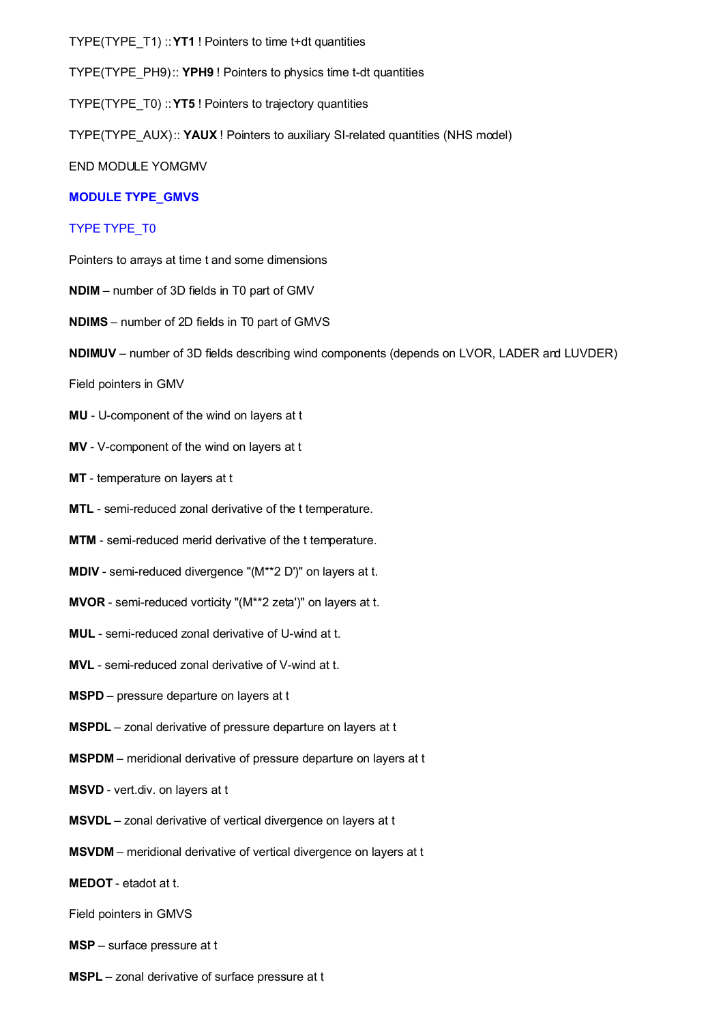TYPE(TYPE\_T1) ::**YT1** ! Pointers to time t+dt quantities

TYPE(TYPE\_PH9) :: **YPH9** ! Pointers to physics time t-dt quantities

TYPE(TYPE\_T0) ::**YT5** ! Pointers to trajectory quantities

TYPE(TYPE\_AUX) :: **YAUX** ! Pointers to auxiliary SI-related quantities (NHS model)

END MODULE YOMGMV

## **MODULE TYPE\_GMVS**

## TYPE TYPE\_T0

Pointers to arrays at time t and some dimensions

- **NDIM** number of 3D fields in T0 part of GMV
- **NDIMS** number of 2D fields in T0 part of GMVS
- **NDIMUV** number of 3D fields describing wind components (depends on LVOR, LADER and LUVDER)

Field pointers in GMV

- **MU** U-component of the wind on layers at t
- **MV** V-component of the wind on layers at t
- **MT** temperature on layers at t
- **MTL** semi-reduced zonal derivative of the t temperature.
- **MTM** semi-reduced merid derivative of the t temperature.
- **MDIV** semi-reduced divergence "(M\*\*2 D')" on layers at t.
- **MVOR** semi-reduced vorticity "(M\*\*2 zeta')" on layers at t.
- **MUL** semi-reduced zonal derivative of U-wind at t.
- **MVL** semi-reduced zonal derivative of V-wind at t.
- **MSPD** pressure departure on layers at t
- **MSPDL** zonal derivative of pressure departure on layers at t
- **MSPDM** meridional derivative of pressure departure on layers at t
- **MSVD** vert.div. on layers at t
- **MSVDL** zonal derivative of vertical divergence on layers at t
- **MSVDM** meridional derivative of vertical divergence on layers at t

**MEDOT** - etadot at t.

Field pointers in GMVS

**MSP** – surface pressure at t

**MSPL** – zonal derivative of surface pressure at t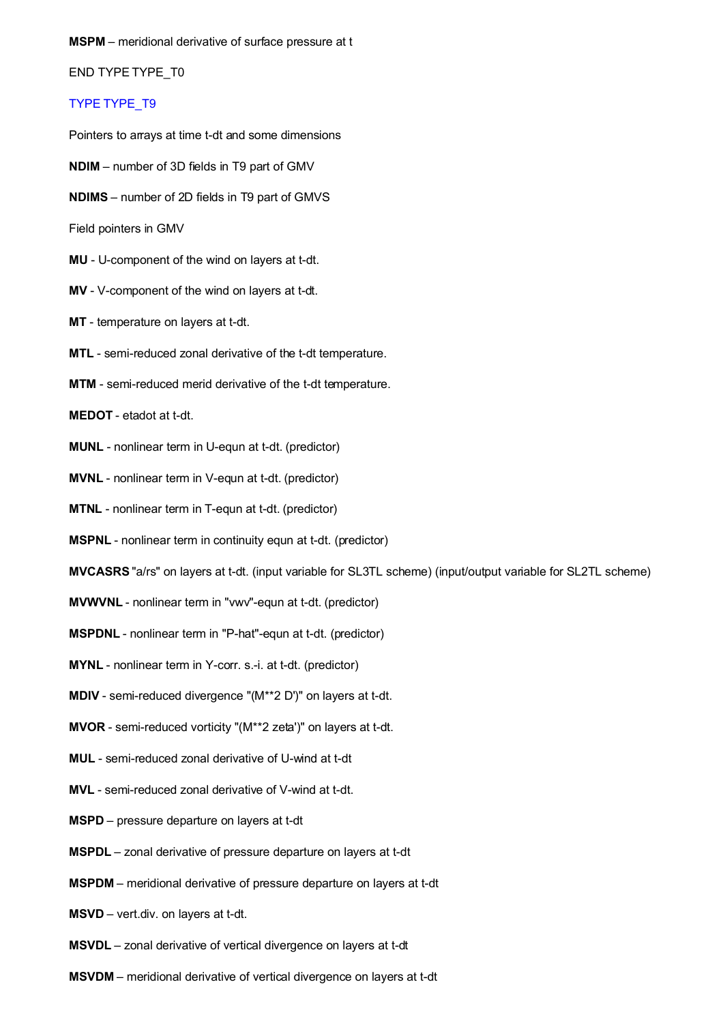**MSPM** – meridional derivative of surface pressure at t

END TYPE TYPE\_T0

#### TYPE TYPE\_T9

Pointers to arrays at time t-dt and some dimensions

- **NDIM** number of 3D fields in T9 part of GMV
- **NDIMS** number of 2D fields in T9 part of GMVS
- Field pointers in GMV
- **MU** U-component of the wind on layers at t-dt.
- **MV** V-component of the wind on layers at t-dt.
- **MT** temperature on layers at t-dt.
- **MTL** semi-reduced zonal derivative of the t-dt temperature.
- **MTM** semi-reduced merid derivative of the t-dt temperature.

**MEDOT** - etadot at t-dt.

- **MUNL** nonlinear term in U-equn at t-dt. (predictor)
- **MVNL** nonlinear term in V-equn at t-dt. (predictor)
- **MTNL** nonlinear term in T-equn at t-dt. (predictor)
- **MSPNL** nonlinear term in continuity equn at t-dt. (predictor)
- **MVCASRS** "a/rs" on layers at t-dt. (input variable for SL3TL scheme) (input/output variable for SL2TL scheme)
- **MVWVNL** nonlinear term in "vwv"-equn at t-dt. (predictor)
- **MSPDNL** nonlinear term in "P-hat"-equn at t-dt. (predictor)
- **MYNL** nonlinear term in Y-corr. s.-i. at t-dt. (predictor)
- **MDIV** semi-reduced divergence "(M\*\*2 D')" on layers at t-dt.
- **MVOR** semi-reduced vorticity "(M\*\*2 zeta')" on layers at t-dt.
- **MUL** semi-reduced zonal derivative of U-wind at t-dt
- **MVL** semi-reduced zonal derivative of V-wind at t-dt.
- **MSPD** pressure departure on layers at t-dt
- **MSPDL** zonal derivative of pressure departure on layers at t-dt
- **MSPDM** meridional derivative of pressure departure on layers at t-dt
- **MSVD** vert.div. on layers at t-dt.
- **MSVDL** zonal derivative of vertical divergence on layers at t-dt
- **MSVDM** meridional derivative of vertical divergence on layers at t-dt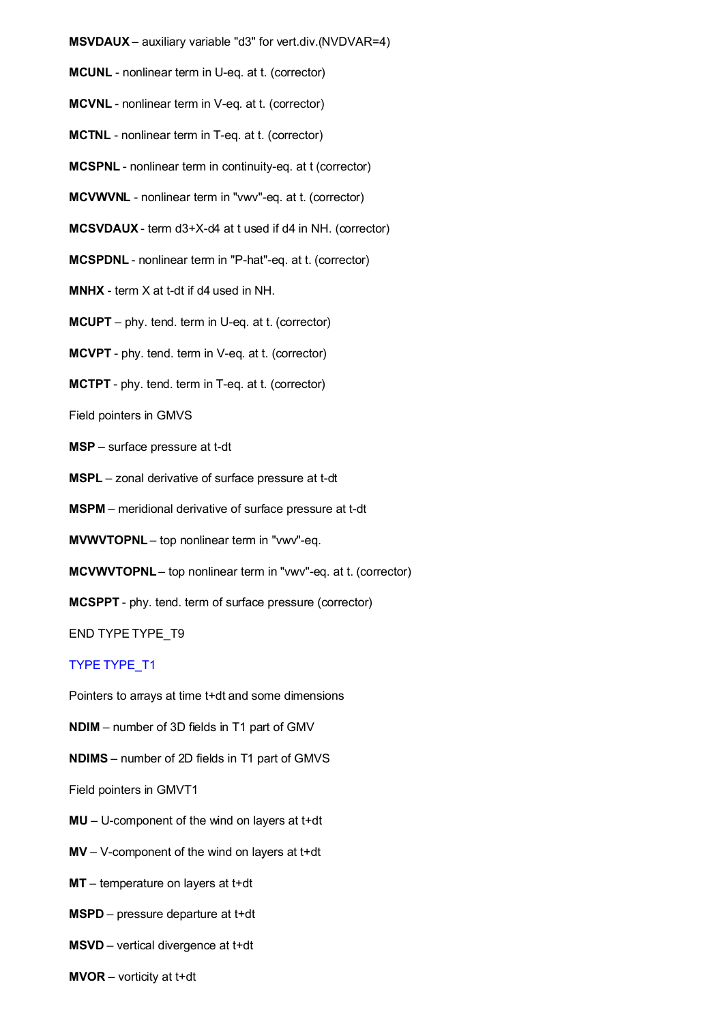**MSVDAUX** – auxiliary variable "d3" for vert.div.(NVDVAR=4) **MCUNL** - nonlinear term in U-eq. at t. (corrector) **MCVNL** - nonlinear term in V-eq. at t. (corrector) **MCTNL** - nonlinear term in T-eq. at t. (corrector) **MCSPNL** - nonlinear term in continuity-eq. at t (corrector) **MCVWVNL** - nonlinear term in "vwv"-eq. at t. (corrector) **MCSVDAUX** - term d3+X-d4 at t used if d4 in NH. (corrector) **MCSPDNL** - nonlinear term in "P-hat"-eq. at t. (corrector) **MNHX** - term X at t-dt if d4 used in NH. **MCUPT** – phy. tend. term in U-eq. at t. (corrector) **MCVPT** - phy. tend. term in V-eq. at t. (corrector) **MCTPT** - phy. tend. term in T-eq. at t. (corrector) Field pointers in GMVS **MSP** – surface pressure at t-dt **MSPL** – zonal derivative of surface pressure at t-dt **MSPM** – meridional derivative of surface pressure at t-dt **MVWVTOPNL** – top nonlinear term in "vwv"-eq. **MCVWVTOPNL** – top nonlinear term in "vwv"-eq. at t. (corrector) **MCSPPT** - phy. tend. term of surface pressure (corrector) END TYPE TYPE\_T9

# TYPE TYPE\_T1

Pointers to arrays at time t+dt and some dimensions

- **NDIM** number of 3D fields in T1 part of GMV
- **NDIMS** number of 2D fields in T1 part of GMVS

Field pointers in GMVT1

- **MU** U-component of the wind on layers at t+dt
- **MV** V-component of the wind on layers at t+dt
- **MT** temperature on layers at t+dt
- **MSPD** pressure departure at t+dt
- **MSVD** vertical divergence at t+dt
- **MVOR** vorticity at t+dt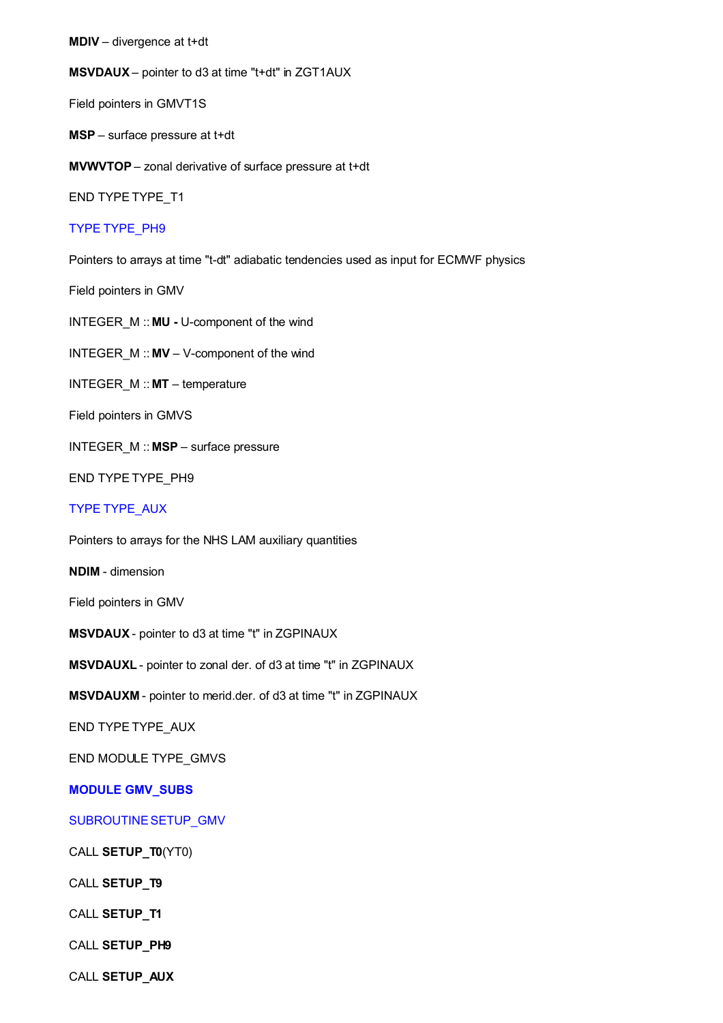**MDIV** – divergence at t+dt

**MSVDAUX** – pointer to d3 at time "t+dt" in ZGT1AUX

Field pointers in GMVT1S

**MSP** – surface pressure at t+dt

**MVWVTOP** – zonal derivative of surface pressure at t+dt

END TYPE TYPE\_T1

## TYPE TYPE\_PH9

Pointers to arrays at time "t-dt" adiabatic tendencies used as input for ECMWF physics

Field pointers in GMV

INTEGER\_M :: **MU -** U-component of the wind

INTEGER\_M :: **MV** – V-component of the wind

INTEGER\_M :: **MT** – temperature

Field pointers in GMVS

INTEGER\_M :: **MSP** – surface pressure

END TYPE TYPE\_PH9

## TYPE TYPE\_AUX

Pointers to arrays for the NHS LAM auxiliary quantities

**NDIM** - dimension

Field pointers in GMV

**MSVDAUX** - pointer to d3 at time "t" in ZGPINAUX

**MSVDAUXL** - pointer to zonal der. of d3 at time "t" in ZGPINAUX

**MSVDAUXM** - pointer to merid.der. of d3 at time "t" in ZGPINAUX

END TYPE TYPE\_AUX

END MODULE TYPE\_GMVS

**MODULE GMV\_SUBS**

SUBROUTINE SETUP\_GMV

CALL **SETUP\_T0**(YT0)

CALL **SETUP\_T9**

CALL **SETUP\_T1**

CALL **SETUP\_PH9**

CALL **SETUP\_AUX**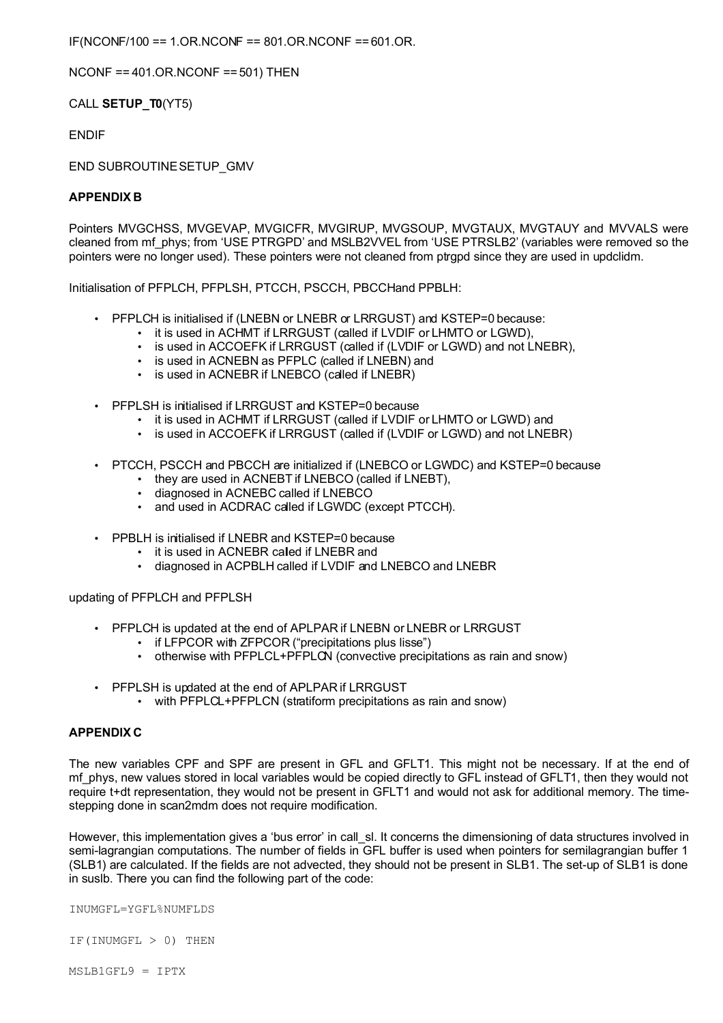IF(NCONF/100 == 1.OR.NCONF == 801.OR.NCONF == 601.OR.

NCONF == 401.OR.NCONF == 501) THEN

CALL **SETUP\_T0**(YT5)

ENDIF

END SUBROUTINE SETUP\_GMV

## <span id="page-19-1"></span>**APPENDIX B**

Pointers MVGCHSS, MVGEVAP, MVGICFR, MVGIRUP, MVGSOUP, MVGTAUX, MVGTAUY and MVVALS were cleaned from mf\_phys; from 'USE PTRGPD' and MSLB2VVEL from 'USE PTRSLB2' (variables were removed so the pointers were no longer used). These pointers were not cleaned from ptrgpd since they are used in updclidm.

Initialisation of PFPLCH, PFPLSH, PTCCH, PSCCH, PBCCHand PPBLH:

- PFPLCH is initialised if (LNEBN or LNEBR or LRRGUST) and KSTEP=0 because:
	- it is used in ACHMT if LRRGUST (called if LVDIF or LHMTO or LGWD),
	- is used in ACCOEFK if LRRGUST (called if (LVDIF or LGWD) and not LNEBR),
	- is used in ACNEBN as PFPLC (called if LNEBN) and
	- is used in ACNEBR if LNEBCO (called if LNEBR)
- PFPLSH is initialised if LRRGUST and KSTEP=0 because
	- it is used in ACHMT if LRRGUST (called if LVDIF or LHMTO or LGWD) and
	- is used in ACCOEFK if LRRGUST (called if (LVDIF or LGWD) and not LNEBR)
- PTCCH, PSCCH and PBCCH are initialized if (LNEBCO or LGWDC) and KSTEP=0 because
	- they are used in ACNEBT if LNEBCO (called if LNEBT),
	- diagnosed in ACNEBC called if LNEBCO
	- and used in ACDRAC called if LGWDC (except PTCCH).
- PPBLH is initialised if LNEBR and KSTEP=0 because
	- it is used in ACNEBR caled if LNEBR and
	- diagnosed in ACPBLH called if LVDIF and LNEBCO and LNEBR

updating of PFPLCH and PFPLSH

- PFPLCH is updated at the end of APLPAR if LNEBN or LNEBR or LRRGUST
	- if LFPCOR with ZFPCOR ("precipitations plus lisse")
	- otherwise with PFPLCL+PFPLCN (convective precipitations as rain and snow)
- PFPLSH is updated at the end of APLPAR if LRRGUST
	- with PFPLCL+PFPLCN (stratiform precipitations as rain and snow)

#### <span id="page-19-0"></span>**APPENDIX C**

The new variables CPF and SPF are present in GFL and GFLT1. This might not be necessary. If at the end of mf phys, new values stored in local variables would be copied directly to GFL instead of GFLT1, then they would not require t+dt representation, they would not be present in GFLT1 and would not ask for additional memory. The timestepping done in scan2mdm does not require modification.

However, this implementation gives a 'bus error' in call sl. It concerns the dimensioning of data structures involved in semi-lagrangian computations. The number of fields in GFL buffer is used when pointers for semilagrangian buffer 1 (SLB1) are calculated. If the fields are not advected, they should not be present in SLB1. The set-up of SLB1 is done in suslb. There you can find the following part of the code:

INUMGFL=YGFL%NUMFLDS

IF(INUMGFL > 0) THEN

MSLB1GFL9 = IPTX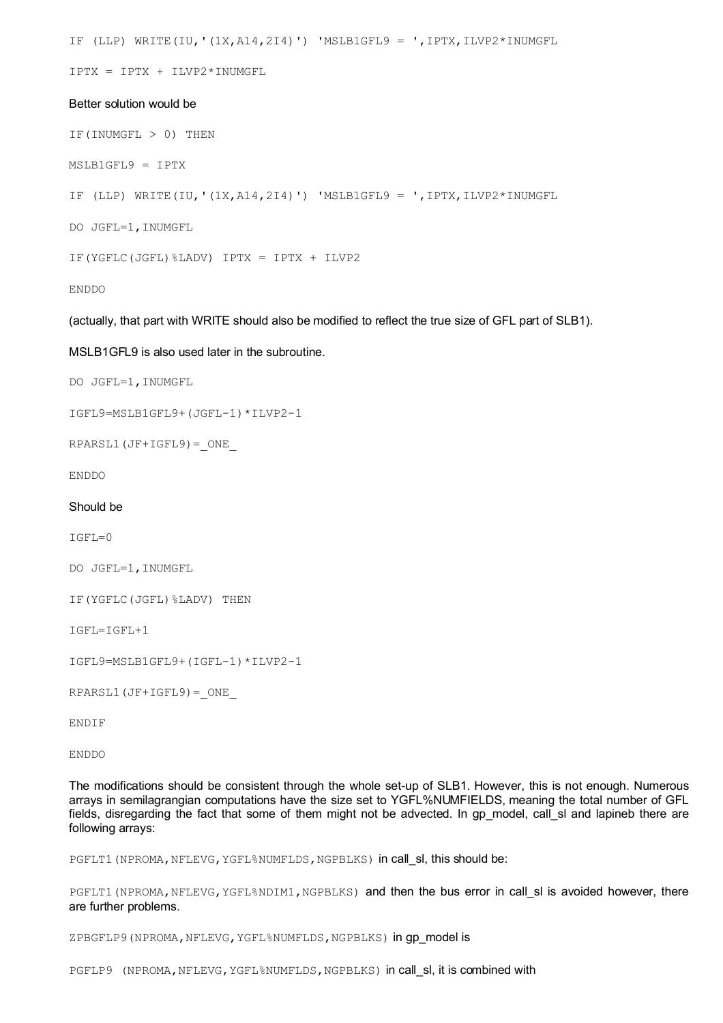IF (LLP) WRITE(IU, ' $(1X, A14, 2I4)$ ') 'MSLB1GFL9 = ', IPTX, ILVP2\*INUMGFL

IPTX = IPTX + ILVP2\*INUMGFL

#### Better solution would be

 $IF(INUMGFL > 0) THEN$ 

MSLB1GFL9 = IPTX

IF (LLP) WRITE(IU,'(1X,A14,2I4)') 'MSLB1GFL9 = ',IPTX,ILVP2\*INUMGFL

DO JGFL=1,INUMGFL

IF(YGFLC(JGFL)%LADV) IPTX = IPTX + ILVP2

ENDDO

(actually, that part with WRITE should also be modified to reflect the true size of GFL part of SLB1).

MSLB1GFL9 is also used later in the subroutine.

DO JGFL=1,INUMGFL

IGFL9=MSLB1GFL9+(JGFL-1)\*ILVP2-1

RPARSL1 $(JF+IGFL9) = ONE$ 

ENDDO

Should be

 $IGFL=0$ 

DO JGFL=1,INUMGFL

IF(YGFLC(JGFL)%LADV) THEN

IGFL=IGFL+1

IGFL9=MSLB1GFL9+(IGFL-1)\*ILVP2-1

 $RPARSL1(JF+IGFL9) = ONE$ 

ENDIF

ENDDO

The modifications should be consistent through the whole set-up of SLB1. However, this is not enough. Numerous arrays in semilagrangian computations have the size set to YGFL%NUMFIELDS, meaning the total number of GFL fields, disregarding the fact that some of them might not be advected. In gp\_model, call\_sl and lapineb there are following arrays:

PGFLT1 (NPROMA, NFLEVG, YGFL%NUMFLDS, NGPBLKS) in call sl, this should be:

PGFLT1 (NPROMA, NFLEVG, YGFL%NDIM1, NGPBLKS) and then the bus error in call sl is avoided however, there are further problems.

ZPBGFLP9 (NPROMA, NFLEVG, YGFL%NUMFLDS, NGPBLKS) in gp\_model is

PGFLP9 (NPROMA, NFLEVG, YGFL%NUMFLDS, NGPBLKS) in call sl, it is combined with